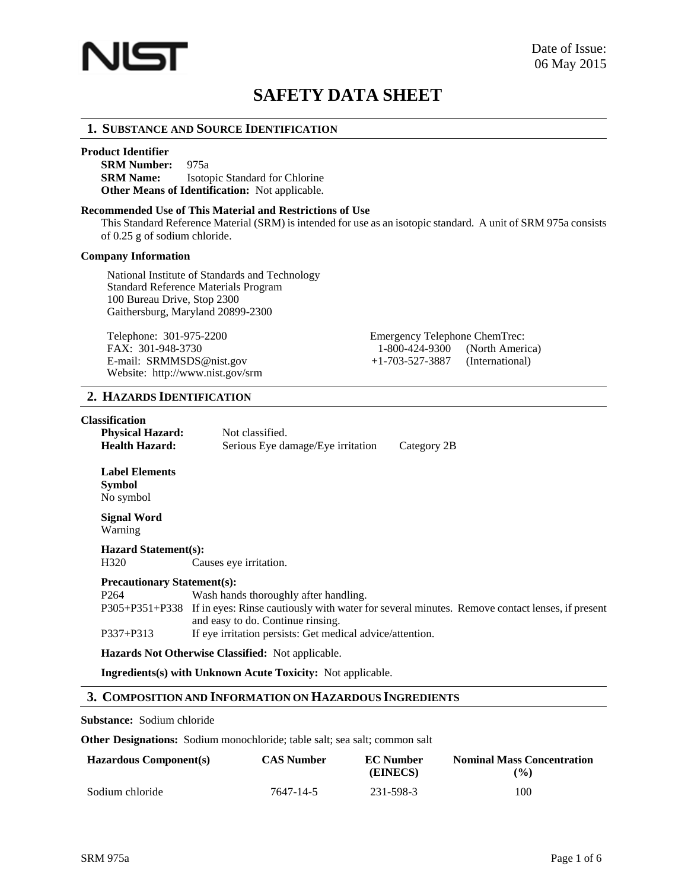

# **SAFETY DATA SHEET**

# **1. SUBSTANCE AND SOURCE IDENTIFICATION**

#### **Product Identifier**

**SRM Number:** 975a **SRM Name:** Isotopic Standard for Chlorine **Other Means of Identification:** Not applicable.

### **Recommended Use of This Material and Restrictions of Use**

This Standard Reference Material (SRM) is intended for use as an isotopic standard. A unit of SRM 975a consists of 0.25 g of sodium chloride.

#### **Company Information**

National Institute of Standards and Technology Standard Reference Materials Program 100 Bureau Drive, Stop 2300 Gaithersburg, Maryland 20899-2300

Telephone: 301-975-2200 Emergency Telephone ChemTrec:<br>FAX: 301-948-3730 1-800-424-9300 (North America) FAX:  $301-948-3730$  1-800-424-9300 E-mail: [SRMMSDS@nist.gov](mailto:SRMMSDS@nist.gov) +1-703-527-3887 (International) Website:<http://www.nist.gov/srm>

# **2. HAZARDS IDENTIFICATION**

### **Classification**

| <b>Physical Hazard:</b> | Not classified.                   |             |
|-------------------------|-----------------------------------|-------------|
| <b>Health Hazard:</b>   | Serious Eye damage/Eye irritation | Category 2B |

**Label Elements Symbol**  No symbol

**Signal Word** Warning

# **Hazard Statement(s):**

H320 Causes eye irritation.

#### **Precautionary Statement(s):**

P264 Wash hands thoroughly after handling. P305+P351+P338 If in eyes: Rinse cautiously with water for several minutes. Remove contact lenses, if present and easy to do. Continue rinsing. P337+P313 If eye irritation persists: Get medical advice/attention.

**Hazards Not Otherwise Classified:** Not applicable.

**Ingredients(s) with Unknown Acute Toxicity:** Not applicable.

# **3. COMPOSITION AND INFORMATION ON HAZARDOUS INGREDIENTS**

#### **Substance:** Sodium chloride

**Other Designations:** Sodium monochloride; table salt; sea salt; common salt

| <b>Hazardous Component(s)</b> | <b>CAS Number</b> | <b>EC</b> Number<br>(EINECS) | <b>Nominal Mass Concentration</b><br>$($ %) |
|-------------------------------|-------------------|------------------------------|---------------------------------------------|
| Sodium chloride               | 7647-14-5         | 231-598-3                    | 100                                         |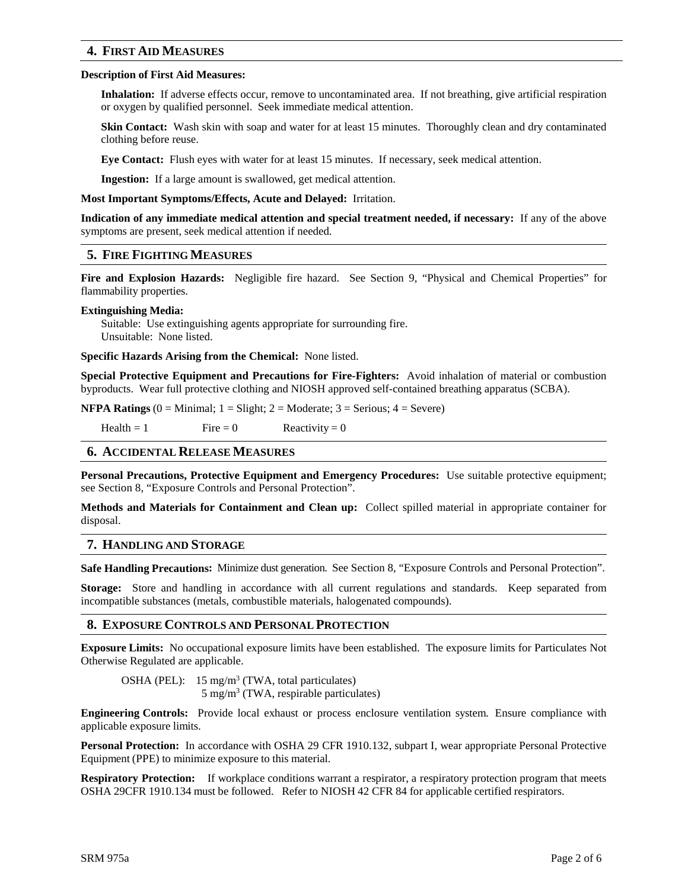# **4. FIRST AID MEASURES**

#### **Description of First Aid Measures:**

**Inhalation:** If adverse effects occur, remove to uncontaminated area. If not breathing, give artificial respiration or oxygen by qualified personnel. Seek immediate medical attention.

**Skin Contact:** Wash skin with soap and water for at least 15 minutes. Thoroughly clean and dry contaminated clothing before reuse.

**Eye Contact:** Flush eyes with water for at least 15 minutes. If necessary, seek medical attention.

**Ingestion:** If a large amount is swallowed, get medical attention.

**Most Important Symptoms/Effects, Acute and Delayed:** Irritation.

**Indication of any immediate medical attention and special treatment needed, if necessary:** If any of the above symptoms are present, seek medical attention if needed.

### **5. FIRE FIGHTING MEASURES**

**Fire and Explosion Hazards:** Negligible fire hazard. See Section 9, "Physical and Chemical Properties" for flammability properties.

#### **Extinguishing Media:**

Suitable: Use extinguishing agents appropriate for surrounding fire. Unsuitable: None listed.

**Specific Hazards Arising from the Chemical:** None listed.

**Special Protective Equipment and Precautions for Fire-Fighters:** Avoid inhalation of material or combustion byproducts. Wear full protective clothing and NIOSH approved self-contained breathing apparatus (SCBA).

**NFPA Ratings** (0 = Minimal; 1 = Slight; 2 = Moderate; 3 = Serious; 4 = Severe)

 $Health = 1$  Fire = 0 Reactivity = 0

### **6. ACCIDENTAL RELEASE MEASURES**

**Personal Precautions, Protective Equipment and Emergency Procedures:** Use suitable protective equipment; see Section 8, "Exposure Controls and Personal Protection".

**Methods and Materials for Containment and Clean up:** Collect spilled material in appropriate container for disposal.

### **7. HANDLING AND STORAGE**

**Safe Handling Precautions:** Minimize dust generation. See Section 8, "Exposure Controls and Personal Protection".

**Storage:** Store and handling in accordance with all current regulations and standards. Keep separated from incompatible substances (metals, combustible materials, halogenated compounds).

### **8. EXPOSURE CONTROLS AND PERSONAL PROTECTION**

**Exposure Limits:** No occupational exposure limits have been established. The exposure limits for Particulates Not Otherwise Regulated are applicable.

OSHA (PEL):  $15 \text{ mg/m}^3$  (TWA, total particulates)  $5 \text{ mg/m}^3$  (TWA, respirable particulates)

**Engineering Controls:** Provide local exhaust or process enclosure ventilation system. Ensure compliance with applicable exposure limits.

**Personal Protection:** In accordance with OSHA 29 CFR 1910.132, subpart I, wear appropriate Personal Protective Equipment (PPE) to minimize exposure to this material.

**Respiratory Protection:** If workplace conditions warrant a respirator, a respiratory protection program that meets OSHA 29CFR 1910.134 must be followed. Refer to NIOSH 42 CFR 84 for applicable certified respirators.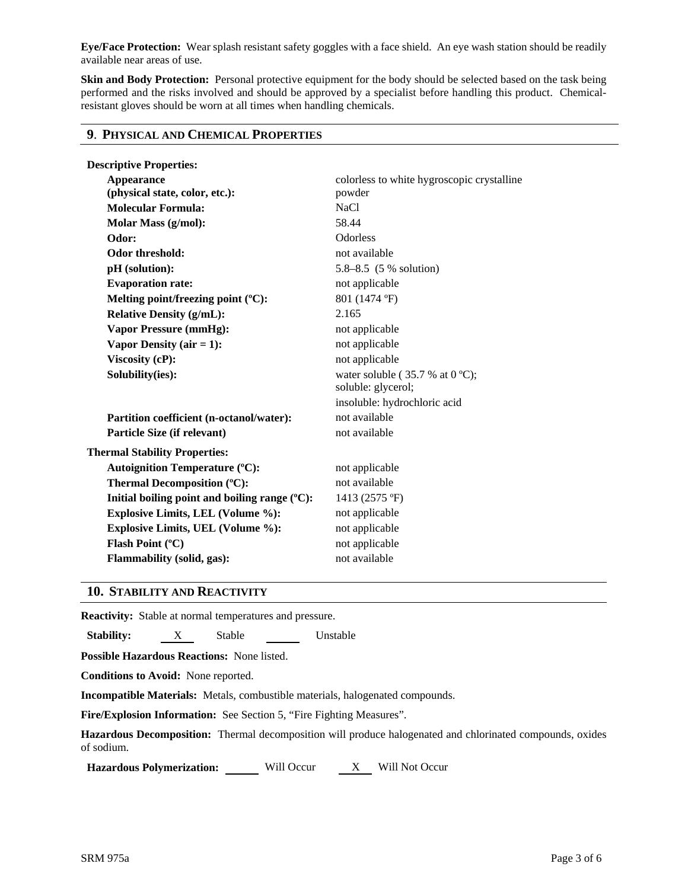**Eye/Face Protection:** Wear splash resistant safety goggles with a face shield. An eye wash station should be readily available near areas of use.

**Skin and Body Protection:** Personal protective equipment for the body should be selected based on the task being performed and the risks involved and should be approved by a specialist before handling this product. Chemicalresistant gloves should be worn at all times when handling chemicals.

# **9**. **PHYSICAL AND CHEMICAL PROPERTIES**

| <b>Descriptive Properties:</b>                   |                                            |  |  |
|--------------------------------------------------|--------------------------------------------|--|--|
| <b>Appearance</b>                                | colorless to white hygroscopic crystalline |  |  |
| (physical state, color, etc.):                   | powder                                     |  |  |
| <b>Molecular Formula:</b>                        | <b>NaCl</b>                                |  |  |
| Molar Mass (g/mol):                              | 58.44                                      |  |  |
| Odor:                                            | <b>Odorless</b>                            |  |  |
| <b>Odor threshold:</b>                           | not available                              |  |  |
| pH (solution):                                   | 5.8–8.5 (5 % solution)                     |  |  |
| <b>Evaporation rate:</b>                         | not applicable                             |  |  |
| Melting point/freezing point (°C):               | 801 (1474 °F)                              |  |  |
| <b>Relative Density (g/mL):</b>                  | 2.165                                      |  |  |
| <b>Vapor Pressure (mmHg):</b>                    | not applicable                             |  |  |
| Vapor Density ( $air = 1$ ):                     | not applicable                             |  |  |
| Viscosity (cP):                                  | not applicable                             |  |  |
| Solubility(ies):                                 | water soluble ( $35.7$ % at 0 °C);         |  |  |
|                                                  | soluble: glycerol;                         |  |  |
|                                                  | insoluble: hydrochloric acid               |  |  |
| Partition coefficient (n-octanol/water):         | not available                              |  |  |
| Particle Size (if relevant)                      | not available                              |  |  |
| <b>Thermal Stability Properties:</b>             |                                            |  |  |
| <b>Autoignition Temperature (°C):</b>            | not applicable                             |  |  |
| Thermal Decomposition (°C):                      | not available                              |  |  |
| Initial boiling point and boiling range $(°C)$ : | 1413 (2575 °F)                             |  |  |
| Explosive Limits, LEL (Volume %):                | not applicable                             |  |  |
| <b>Explosive Limits, UEL (Volume %):</b>         | not applicable                             |  |  |
| Flash Point (°C)                                 | not applicable                             |  |  |
| <b>Flammability (solid, gas):</b>                | not available                              |  |  |
|                                                  |                                            |  |  |

# **10. STABILITY AND REACTIVITY**

**Reactivity:** Stable at normal temperatures and pressure.

**Stability:** X Stable Unstable

**Possible Hazardous Reactions:** None listed.

**Conditions to Avoid:** None reported.

**Incompatible Materials:** Metals, combustible materials, halogenated compounds.

**Fire/Explosion Information:** See Section 5, "Fire Fighting Measures".

**Hazardous Decomposition:** Thermal decomposition will produce halogenated and chlorinated compounds, oxides of sodium.

**Hazardous Polymerization:** Will Occur X Will Not Occur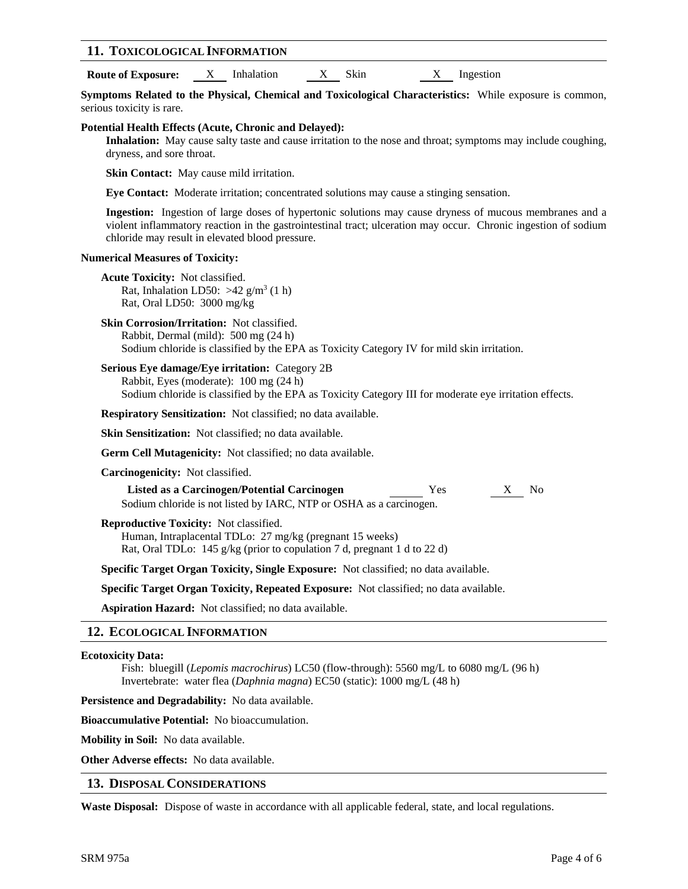### **11. TOXICOLOGICAL INFORMATION**

**Route of Exposure:** X Inhalation X Skin X Ingestion

**Symptoms Related to the Physical, Chemical and Toxicological Characteristics:** While exposure is common, serious toxicity is rare.

### **Potential Health Effects (Acute, Chronic and Delayed):**

**Inhalation:** May cause salty taste and cause irritation to the nose and throat; symptoms may include coughing, dryness, and sore throat.

**Skin Contact:** May cause mild irritation.

**Eye Contact:** Moderate irritation; concentrated solutions may cause a stinging sensation.

**Ingestion:** Ingestion of large doses of hypertonic solutions may cause dryness of mucous membranes and a violent inflammatory reaction in the gastrointestinal tract; ulceration may occur. Chronic ingestion of sodium chloride may result in elevated blood pressure.

#### **Numerical Measures of Toxicity:**

- **Acute Toxicity:** Not classified. Rat, Inhalation LD50:  $>42$  g/m<sup>3</sup> (1 h) Rat, Oral LD50: 3000 mg/kg
- **Skin Corrosion/Irritation:** Not classified. Rabbit, Dermal (mild): 500 mg (24 h) Sodium chloride is classified by the EPA as Toxicity Category IV for mild skin irritation.

**Serious Eye damage/Eye irritation:** Category 2B Rabbit, Eyes (moderate): 100 mg (24 h) Sodium chloride is classified by the EPA as Toxicity Category III for moderate eye irritation effects.

**Respiratory Sensitization:** Not classified; no data available.

**Skin Sensitization:** Not classified; no data available.

**Germ Cell Mutagenicity:** Not classified; no data available.

**Carcinogenicity:** Not classified.

**Listed as a Carcinogen/Potential Carcinogen** Yes X No Sodium chloride is not listed by IARC, NTP or OSHA as a carcinogen.

**Reproductive Toxicity:** Not classified.

Human, Intraplacental TDLo: 27 mg/kg (pregnant 15 weeks) Rat, Oral TDLo: 145 g/kg (prior to copulation 7 d, pregnant 1 d to 22 d)

**Specific Target Organ Toxicity, Single Exposure:** Not classified; no data available.

**Specific Target Organ Toxicity, Repeated Exposure:** Not classified; no data available.

**Aspiration Hazard:** Not classified; no data available.

# **12. ECOLOGICAL INFORMATION**

### **Ecotoxicity Data:**

Fish: bluegill (*Lepomis macrochirus*) LC50 (flow-through): 5560 mg/L to 6080 mg/L (96 h) Invertebrate: water flea (*Daphnia magna*) EC50 (static): 1000 mg/L (48 h)

**Persistence and Degradability:** No data available.

**Bioaccumulative Potential:** No bioaccumulation.

**Mobility in Soil:** No data available.

**Other Adverse effects:** No data available.

# **13. DISPOSAL CONSIDERATIONS**

**Waste Disposal:** Dispose of waste in accordance with all applicable federal, state, and local regulations.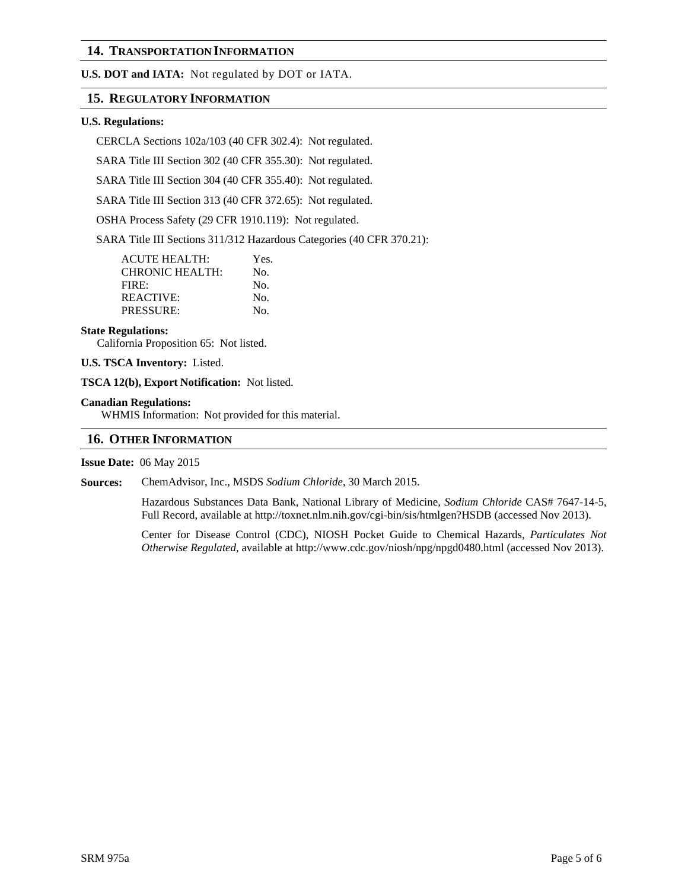# **14. TRANSPORTATION INFORMATION**

**U.S. DOT and IATA:** Not regulated by DOT or IATA.

# **15. REGULATORY INFORMATION**

#### **U.S. Regulations:**

CERCLA Sections 102a/103 (40 CFR 302.4): Not regulated.

SARA Title III Section 302 (40 CFR 355.30): Not regulated.

SARA Title III Section 304 (40 CFR 355.40): Not regulated.

SARA Title III Section 313 (40 CFR 372.65): Not regulated.

OSHA Process Safety (29 CFR 1910.119): Not regulated.

SARA Title III Sections 311/312 Hazardous Categories (40 CFR 370.21):

| <b>ACUTE HEALTH:</b> | Yes. |
|----------------------|------|
| CHRONIC HEALTH:      | No.  |
| FIRE:                | No.  |
| REACTIVE:            | No.  |
| PRESSURE:            | No.  |

#### **State Regulations:**

California Proposition 65: Not listed.

**U.S. TSCA Inventory:** Listed.

**TSCA 12(b), Export Notification:** Not listed.

#### **Canadian Regulations:**

WHMIS Information: Not provided for this material.

### **16. OTHER INFORMATION**

**Issue Date:** 06 May 2015

**Sources:** ChemAdvisor, Inc., MSDS *Sodium Chloride*, 30 March 2015.

Hazardous Substances Data Bank, National Library of Medicine, *Sodium Chloride* CAS# 7647-14-5, Full Record, available at <http://toxnet.nlm.nih.gov/cgi-bin/sis/htmlgen?HSDB> (accessed Nov 2013).

Center for Disease Control (CDC), NIOSH Pocket Guide to Chemical Hazards, *Particulates Not Otherwise Regulated*, available at<http://www.cdc.gov/niosh/npg/npgd0480.html> (accessed Nov 2013).